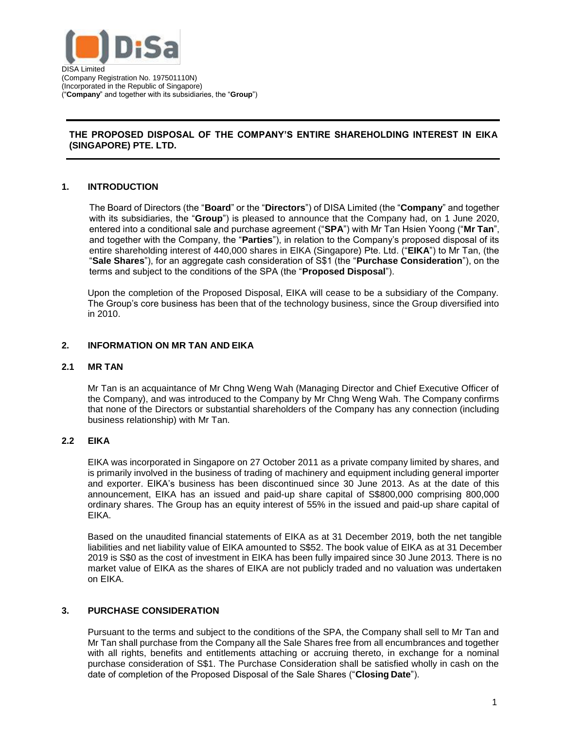

# **THE PROPOSED DISPOSAL OF THE COMPANY'S ENTIRE SHAREHOLDING INTEREST IN EIKA (SINGAPORE) PTE. LTD.**

# **1. INTRODUCTION**

The Board of Directors (the "**Board**" or the "**Directors**") of DISA Limited (the "**Company**" and together with its subsidiaries, the "**Group**") is pleased to announce that the Company had, on 1 June 2020, entered into a conditional sale and purchase agreement ("**SPA**") with Mr Tan Hsien Yoong ("**Mr Tan**", and together with the Company, the "**Parties**"), in relation to the Company's proposed disposal of its entire shareholding interest of 440,000 shares in EIKA (Singapore) Pte. Ltd. ("**EIKA**") to Mr Tan, (the "**Sale Shares**"), for an aggregate cash consideration of S\$1 (the "**Purchase Consideration**"), on the terms and subject to the conditions of the SPA (the "**Proposed Disposal**").

Upon the completion of the Proposed Disposal, EIKA will cease to be a subsidiary of the Company. The Group's core business has been that of the technology business, since the Group diversified into in 2010.

### **2. INFORMATION ON MR TAN AND EIKA**

#### **2.1 MR TAN**

Mr Tan is an acquaintance of Mr Chng Weng Wah (Managing Director and Chief Executive Officer of the Company), and was introduced to the Company by Mr Chng Weng Wah. The Company confirms that none of the Directors or substantial shareholders of the Company has any connection (including business relationship) with Mr Tan.

### **2.2 EIKA**

EIKA was incorporated in Singapore on 27 October 2011 as a private company limited by shares, and is primarily involved in the business of trading of machinery and equipment including general importer and exporter. EIKA's business has been discontinued since 30 June 2013. As at the date of this announcement, EIKA has an issued and paid-up share capital of S\$800,000 comprising 800,000 ordinary shares. The Group has an equity interest of 55% in the issued and paid-up share capital of EIKA.

Based on the unaudited financial statements of EIKA as at 31 December 2019, both the net tangible liabilities and net liability value of EIKA amounted to S\$52. The book value of EIKA as at 31 December 2019 is S\$0 as the cost of investment in EIKA has been fully impaired since 30 June 2013. There is no market value of EIKA as the shares of EIKA are not publicly traded and no valuation was undertaken on EIKA.

### **3. PURCHASE CONSIDERATION**

Pursuant to the terms and subject to the conditions of the SPA, the Company shall sell to Mr Tan and Mr Tan shall purchase from the Company all the Sale Shares free from all encumbrances and together with all rights, benefits and entitlements attaching or accruing thereto, in exchange for a nominal purchase consideration of S\$1. The Purchase Consideration shall be satisfied wholly in cash on the date of completion of the Proposed Disposal of the Sale Shares ("**Closing Date**").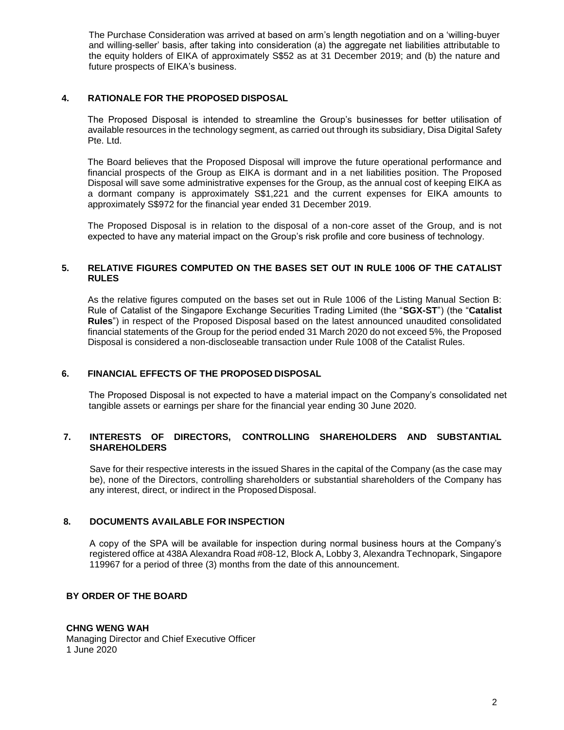The Purchase Consideration was arrived at based on arm's length negotiation and on a 'willing-buyer and willing-seller' basis, after taking into consideration (a) the aggregate net liabilities attributable to the equity holders of EIKA of approximately S\$52 as at 31 December 2019; and (b) the nature and future prospects of EIKA's business.

# **4. RATIONALE FOR THE PROPOSED DISPOSAL**

The Proposed Disposal is intended to streamline the Group's businesses for better utilisation of available resources in the technology segment, as carried out through its subsidiary, Disa Digital Safety Pte. Ltd.

The Board believes that the Proposed Disposal will improve the future operational performance and financial prospects of the Group as EIKA is dormant and in a net liabilities position. The Proposed Disposal will save some administrative expenses for the Group, as the annual cost of keeping EIKA as a dormant company is approximately S\$1,221 and the current expenses for EIKA amounts to approximately S\$972 for the financial year ended 31 December 2019.

The Proposed Disposal is in relation to the disposal of a non-core asset of the Group, and is not expected to have any material impact on the Group's risk profile and core business of technology.

### **5. RELATIVE FIGURES COMPUTED ON THE BASES SET OUT IN RULE 1006 OF THE CATALIST RULES**

As the relative figures computed on the bases set out in Rule 1006 of the Listing Manual Section B: Rule of Catalist of the Singapore Exchange Securities Trading Limited (the "**SGX-ST**") (the "**Catalist Rules**") in respect of the Proposed Disposal based on the latest announced unaudited consolidated financial statements of the Group for the period ended 31 March 2020 do not exceed 5%, the Proposed Disposal is considered a non-discloseable transaction under Rule 1008 of the Catalist Rules.

### **6. FINANCIAL EFFECTS OF THE PROPOSED DISPOSAL**

The Proposed Disposal is not expected to have a material impact on the Company's consolidated net tangible assets or earnings per share for the financial year ending 30 June 2020.

### **7. INTERESTS OF DIRECTORS, CONTROLLING SHAREHOLDERS AND SUBSTANTIAL SHAREHOLDERS**

Save for their respective interests in the issued Shares in the capital of the Company (as the case may be), none of the Directors, controlling shareholders or substantial shareholders of the Company has any interest, direct, or indirect in the Proposed Disposal.

### **8. DOCUMENTS AVAILABLE FOR INSPECTION**

A copy of the SPA will be available for inspection during normal business hours at the Company's registered office at 438A Alexandra Road #08-12, Block A, Lobby 3, Alexandra Technopark, Singapore 119967 for a period of three (3) months from the date of this announcement.

### **BY ORDER OF THE BOARD**

### **CHNG WENG WAH**

Managing Director and Chief Executive Officer 1 June 2020